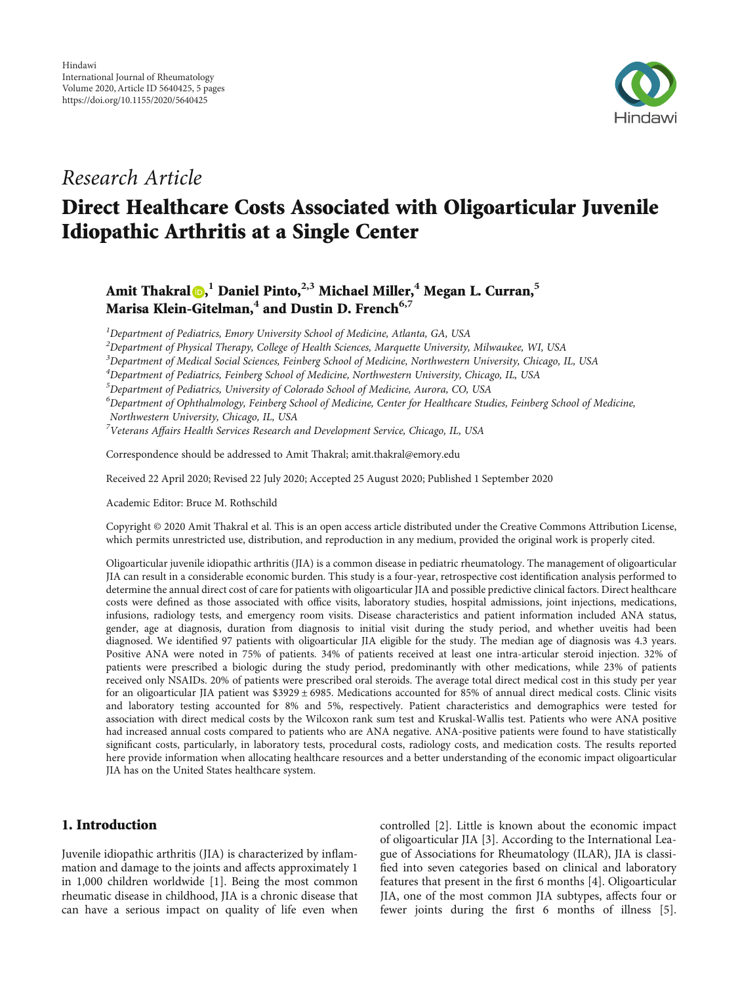

## Research Article

# Direct Healthcare Costs Associated with Oligoarticular Juvenile Idiopathic Arthritis at a Single Center

### Amit Thakral [,](https://orcid.org/0000-0003-0476-4721) **<sup>1</sup>** Daniel Pinto,**2,3** Michael Miller,**<sup>4</sup>** Megan L. Curran,**<sup>5</sup>** Marisa Klein-Gitelman,**<sup>4</sup>** and Dustin D. French**6,7**

<sup>1</sup>Department of Pediatrics, Emory University School of Medicine, Atlanta, GA, USA

 $^2$ Department of Physical Therapy, College of Health Sciences, Marquette University, Milwaukee, WI, USA

<sup>3</sup>Department of Medical Social Sciences, Feinberg School of Medicine, Northwestern University, Chicago, IL, USA

4 Department of Pediatrics, Feinberg School of Medicine, Northwestern University, Chicago, IL, USA

 $^5$ Department of Pediatrics, University of Colorado School of Medicine, Aurora, CO, USA

 $^6$ Department of Ophthalmology, Feinberg School of Medicine, Center for Healthcare Studies, Feinberg School of Medicine, Northwestern University, Chicago, IL, USA

 $^7$ Veterans Affairs Health Services Research and Development Service, Chicago, IL, USA

Correspondence should be addressed to Amit Thakral; amit.thakral@emory.edu

Received 22 April 2020; Revised 22 July 2020; Accepted 25 August 2020; Published 1 September 2020

Academic Editor: Bruce M. Rothschild

Copyright © 2020 Amit Thakral et al. This is an open access article distributed under the [Creative Commons Attribution License](https://creativecommons.org/licenses/by/4.0/), which permits unrestricted use, distribution, and reproduction in any medium, provided the original work is properly cited.

Oligoarticular juvenile idiopathic arthritis (JIA) is a common disease in pediatric rheumatology. The management of oligoarticular JIA can result in a considerable economic burden. This study is a four-year, retrospective cost identification analysis performed to determine the annual direct cost of care for patients with oligoarticular JIA and possible predictive clinical factors. Direct healthcare costs were defined as those associated with office visits, laboratory studies, hospital admissions, joint injections, medications, infusions, radiology tests, and emergency room visits. Disease characteristics and patient information included ANA status, gender, age at diagnosis, duration from diagnosis to initial visit during the study period, and whether uveitis had been diagnosed. We identified 97 patients with oligoarticular JIA eligible for the study. The median age of diagnosis was 4.3 years. Positive ANA were noted in 75% of patients. 34% of patients received at least one intra-articular steroid injection. 32% of patients were prescribed a biologic during the study period, predominantly with other medications, while 23% of patients received only NSAIDs. 20% of patients were prescribed oral steroids. The average total direct medical cost in this study per year for an oligoarticular JIA patient was \$3929 ± 6985. Medications accounted for 85% of annual direct medical costs. Clinic visits and laboratory testing accounted for 8% and 5%, respectively. Patient characteristics and demographics were tested for association with direct medical costs by the Wilcoxon rank sum test and Kruskal-Wallis test. Patients who were ANA positive had increased annual costs compared to patients who are ANA negative. ANA-positive patients were found to have statistically significant costs, particularly, in laboratory tests, procedural costs, radiology costs, and medication costs. The results reported here provide information when allocating healthcare resources and a better understanding of the economic impact oligoarticular JIA has on the United States healthcare system.

### 1. Introduction

Juvenile idiopathic arthritis (JIA) is characterized by inflammation and damage to the joints and affects approximately 1 in 1,000 children worldwide [[1\]](#page-3-0). Being the most common rheumatic disease in childhood, JIA is a chronic disease that can have a serious impact on quality of life even when

controlled [[2\]](#page-3-0). Little is known about the economic impact of oligoarticular JIA [[3\]](#page-3-0). According to the International League of Associations for Rheumatology (ILAR), JIA is classified into seven categories based on clinical and laboratory features that present in the first 6 months [\[4](#page-4-0)]. Oligoarticular JIA, one of the most common JIA subtypes, affects four or fewer joints during the first 6 months of illness [[5](#page-4-0)].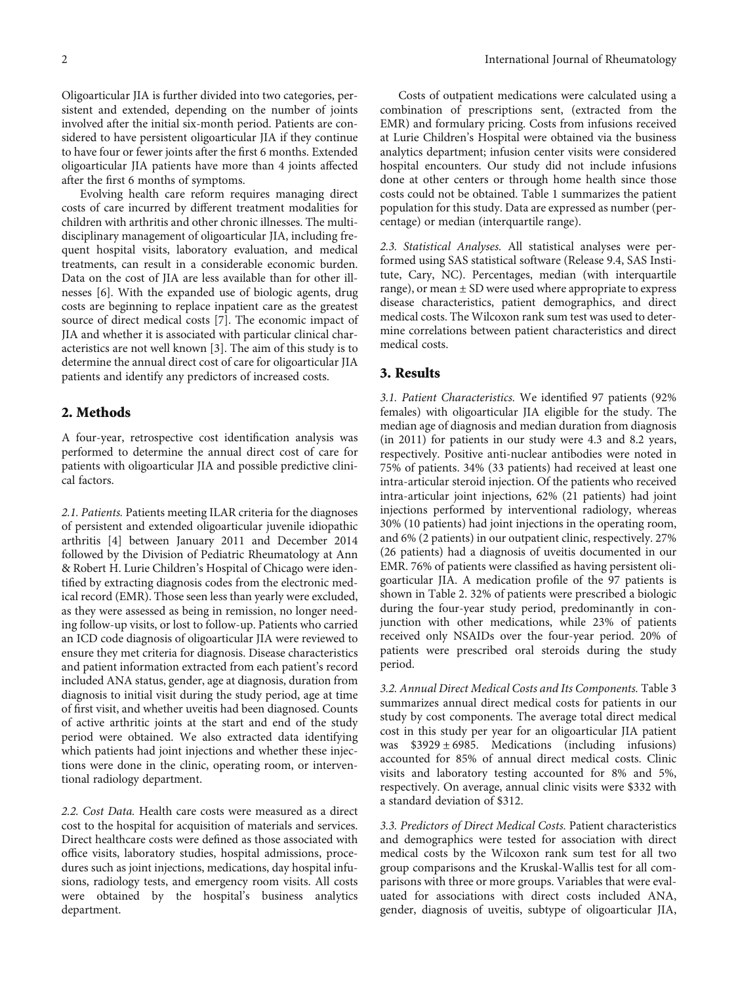Oligoarticular JIA is further divided into two categories, persistent and extended, depending on the number of joints involved after the initial six-month period. Patients are considered to have persistent oligoarticular JIA if they continue to have four or fewer joints after the first 6 months. Extended oligoarticular JIA patients have more than 4 joints affected after the first 6 months of symptoms.

Evolving health care reform requires managing direct costs of care incurred by different treatment modalities for children with arthritis and other chronic illnesses. The multidisciplinary management of oligoarticular JIA, including frequent hospital visits, laboratory evaluation, and medical treatments, can result in a considerable economic burden. Data on the cost of JIA are less available than for other illnesses [[6\]](#page-4-0). With the expanded use of biologic agents, drug costs are beginning to replace inpatient care as the greatest source of direct medical costs [\[7](#page-4-0)]. The economic impact of JIA and whether it is associated with particular clinical characteristics are not well known [\[3\]](#page-3-0). The aim of this study is to determine the annual direct cost of care for oligoarticular JIA patients and identify any predictors of increased costs.

#### 2. Methods

A four-year, retrospective cost identification analysis was performed to determine the annual direct cost of care for patients with oligoarticular JIA and possible predictive clinical factors.

2.1. Patients. Patients meeting ILAR criteria for the diagnoses of persistent and extended oligoarticular juvenile idiopathic arthritis [\[4\]](#page-4-0) between January 2011 and December 2014 followed by the Division of Pediatric Rheumatology at Ann & Robert H. Lurie Children's Hospital of Chicago were identified by extracting diagnosis codes from the electronic medical record (EMR). Those seen less than yearly were excluded, as they were assessed as being in remission, no longer needing follow-up visits, or lost to follow-up. Patients who carried an ICD code diagnosis of oligoarticular JIA were reviewed to ensure they met criteria for diagnosis. Disease characteristics and patient information extracted from each patient's record included ANA status, gender, age at diagnosis, duration from diagnosis to initial visit during the study period, age at time of first visit, and whether uveitis had been diagnosed. Counts of active arthritic joints at the start and end of the study period were obtained. We also extracted data identifying which patients had joint injections and whether these injections were done in the clinic, operating room, or interventional radiology department.

2.2. Cost Data. Health care costs were measured as a direct cost to the hospital for acquisition of materials and services. Direct healthcare costs were defined as those associated with office visits, laboratory studies, hospital admissions, procedures such as joint injections, medications, day hospital infusions, radiology tests, and emergency room visits. All costs were obtained by the hospital's business analytics department.

Costs of outpatient medications were calculated using a combination of prescriptions sent, (extracted from the EMR) and formulary pricing. Costs from infusions received at Lurie Children's Hospital were obtained via the business analytics department; infusion center visits were considered hospital encounters. Our study did not include infusions done at other centers or through home health since those costs could not be obtained. Table [1](#page-2-0) summarizes the patient population for this study. Data are expressed as number (percentage) or median (interquartile range).

2.3. Statistical Analyses. All statistical analyses were performed using SAS statistical software (Release 9.4, SAS Institute, Cary, NC). Percentages, median (with interquartile range), or mean  $\pm$  SD were used where appropriate to express disease characteristics, patient demographics, and direct medical costs. The Wilcoxon rank sum test was used to determine correlations between patient characteristics and direct medical costs.

#### 3. Results

3.1. Patient Characteristics. We identified 97 patients (92% females) with oligoarticular JIA eligible for the study. The median age of diagnosis and median duration from diagnosis (in 2011) for patients in our study were 4.3 and 8.2 years, respectively. Positive anti-nuclear antibodies were noted in 75% of patients. 34% (33 patients) had received at least one intra-articular steroid injection. Of the patients who received intra-articular joint injections, 62% (21 patients) had joint injections performed by interventional radiology, whereas 30% (10 patients) had joint injections in the operating room, and 6% (2 patients) in our outpatient clinic, respectively. 27% (26 patients) had a diagnosis of uveitis documented in our EMR. 76% of patients were classified as having persistent oligoarticular JIA. A medication profile of the 97 patients is shown in Table [2.](#page-2-0) 32% of patients were prescribed a biologic during the four-year study period, predominantly in conjunction with other medications, while 23% of patients received only NSAIDs over the four-year period. 20% of patients were prescribed oral steroids during the study period.

3.2. Annual Direct Medical Costs and Its Components. Table [3](#page-2-0) summarizes annual direct medical costs for patients in our study by cost components. The average total direct medical cost in this study per year for an oligoarticular JIA patient was  $$3929 \pm 6985$ . Medications (including infusions) accounted for 85% of annual direct medical costs. Clinic visits and laboratory testing accounted for 8% and 5%, respectively. On average, annual clinic visits were \$332 with a standard deviation of \$312.

3.3. Predictors of Direct Medical Costs. Patient characteristics and demographics were tested for association with direct medical costs by the Wilcoxon rank sum test for all two group comparisons and the Kruskal-Wallis test for all comparisons with three or more groups. Variables that were evaluated for associations with direct costs included ANA, gender, diagnosis of uveitis, subtype of oligoarticular JIA,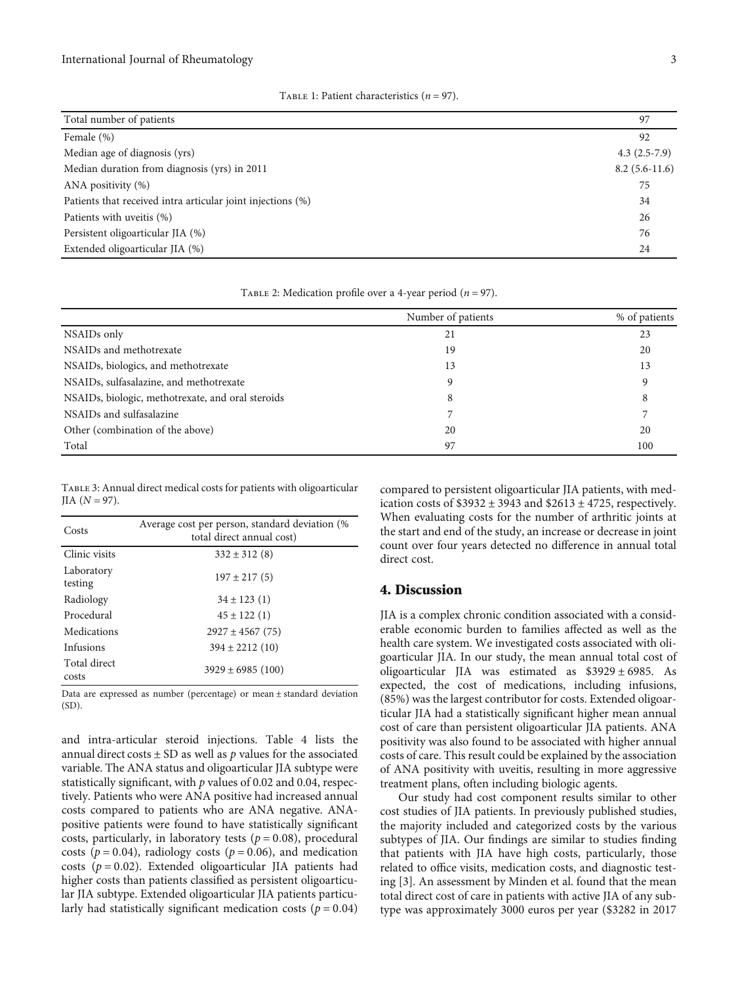<span id="page-2-0"></span>

| Total number of patients                                    | 97              |
|-------------------------------------------------------------|-----------------|
| Female (%)                                                  | 92              |
| Median age of diagnosis (yrs)                               | $4.3(2.5-7.9)$  |
| Median duration from diagnosis (yrs) in 2011                | $8.2(5.6-11.6)$ |
| ANA positivity (%)                                          | 75              |
| Patients that received intra articular joint injections (%) | 34              |
| Patients with uveitis (%)                                   | 26              |
| Persistent oligoarticular JIA (%)                           | 76              |
| Extended oligoarticular JIA (%)                             | 24              |

Table 1: Patient characteristics (*n* = 97).

| TABLE 2: Medication profile over a 4-year period ( $n = 97$ ). |  |  |  |
|----------------------------------------------------------------|--|--|--|
|                                                                |  |  |  |

|                                                                | Number of patients | % of patients |
|----------------------------------------------------------------|--------------------|---------------|
| NSAIDs only                                                    | 21                 | 23            |
| NSAIDs and methotrexate                                        | 19                 | 20            |
| NSAIDs, biologics, and methotrexate                            | 13                 | 13            |
| NSAIDs, sulfasalazine, and methotrexate                        | q                  |               |
| NSAID <sub>s</sub> , biologic, methotrexate, and oral steroids | 8                  | Ω             |
| NSAIDs and sulfasalazine                                       |                    |               |
| Other (combination of the above)                               | 20                 | 20            |
| Total                                                          | 97                 | 100           |

Table 3: Annual direct medical costs for patients with oligoarticular  $JIA (N = 97)$ .

| Costs                 | Average cost per person, standard deviation (%)<br>total direct annual cost) |
|-----------------------|------------------------------------------------------------------------------|
| Clinic visits         | $332 \pm 312(8)$                                                             |
| Laboratory<br>testing | $197 \pm 217(5)$                                                             |
| Radiology             | $34 \pm 123$ (1)                                                             |
| Procedural            | $45 \pm 122$ (1)                                                             |
| Medications           | $2927 \pm 4567$ (75)                                                         |
| Infusions             | $394 \pm 2212(10)$                                                           |
| Total direct<br>costs | $3929 \pm 6985$ (100)                                                        |

Data are expressed as number (percentage) or mean ± standard deviation (SD).

and intra-articular steroid injections. Table [4](#page-3-0) lists the annual direct costs  $\pm$  SD as well as  $p$  values for the associated variable. The ANA status and oligoarticular JIA subtype were statistically significant, with *p* values of 0.02 and 0.04, respectively. Patients who were ANA positive had increased annual costs compared to patients who are ANA negative. ANApositive patients were found to have statistically significant costs, particularly, in laboratory tests ( $p = 0.08$ ), procedural costs ( $p = 0.04$ ), radiology costs ( $p = 0.06$ ), and medication costs (*p* = 0*:*02). Extended oligoarticular JIA patients had higher costs than patients classified as persistent oligoarticular JIA subtype. Extended oligoarticular JIA patients particularly had statistically significant medication costs ( $p = 0.04$ )

compared to persistent oligoarticular JIA patients, with medication costs of  $$3932 \pm 3943$  and  $$2613 \pm 4725$ , respectively. When evaluating costs for the number of arthritic joints at the start and end of the study, an increase or decrease in joint count over four years detected no difference in annual total direct cost.

#### 4. Discussion

JIA is a complex chronic condition associated with a considerable economic burden to families affected as well as the health care system. We investigated costs associated with oligoarticular JIA. In our study, the mean annual total cost of oligoarticular JIA was estimated as \$3929 ± 6985. As expected, the cost of medications, including infusions, (85%) was the largest contributor for costs. Extended oligoarticular JIA had a statistically significant higher mean annual cost of care than persistent oligoarticular JIA patients. ANA positivity was also found to be associated with higher annual costs of care. This result could be explained by the association of ANA positivity with uveitis, resulting in more aggressive treatment plans, often including biologic agents.

Our study had cost component results similar to other cost studies of JIA patients. In previously published studies, the majority included and categorized costs by the various subtypes of JIA. Our findings are similar to studies finding that patients with JIA have high costs, particularly, those related to office visits, medication costs, and diagnostic testing [\[3](#page-3-0)]. An assessment by Minden et al. found that the mean total direct cost of care in patients with active JIA of any subtype was approximately 3000 euros per year (\$3282 in 2017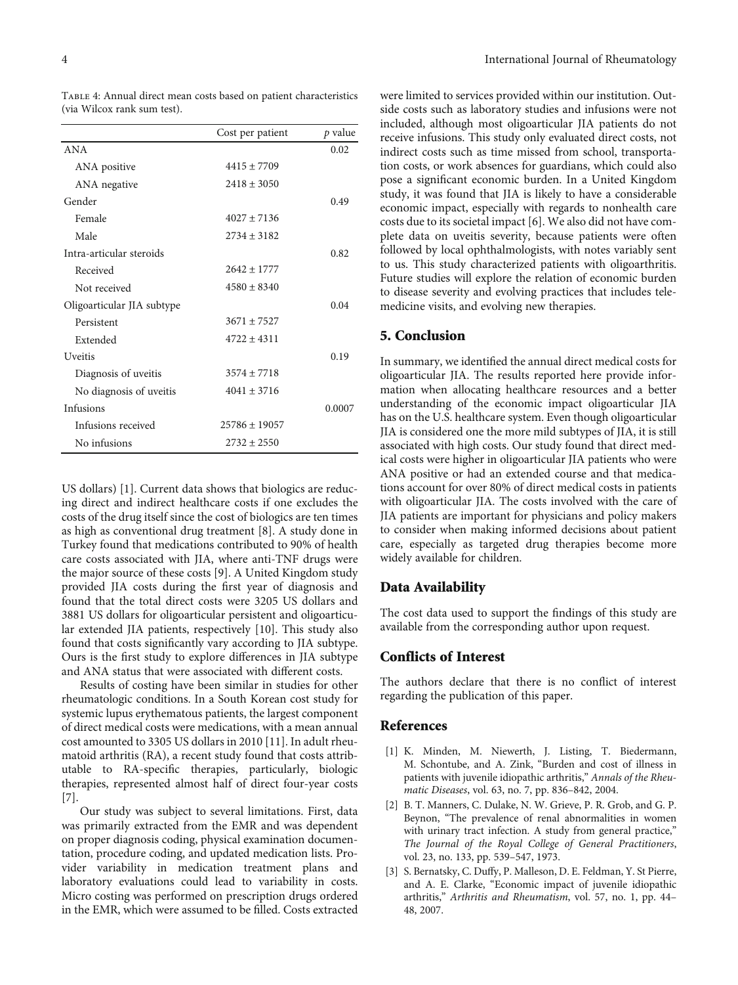|                            | Cost per patient  | p value |
|----------------------------|-------------------|---------|
| ANA                        |                   | 0.02    |
| ANA positive               | $4415 + 7709$     |         |
| ANA negative               | $2418 \pm 3050$   |         |
| Gender                     |                   | 0.49    |
| Female                     | $4027 + 7136$     |         |
| Male                       | $2734 \pm 3182$   |         |
| Intra-articular steroids   |                   | 0.82    |
| Received                   | $2642 + 1777$     |         |
| Not received               | $4580 + 8340$     |         |
| Oligoarticular JIA subtype |                   | 0.04    |
| Persistent                 | $3671 + 7527$     |         |
| Extended                   | $4722 + 4311$     |         |
| <b>Uveitis</b>             |                   | 0.19    |
| Diagnosis of uveitis       | $3574 \pm 7718$   |         |
| No diagnosis of uveitis    | $4041 \pm 3716$   |         |
| Infusions                  |                   | 0.0007  |
| Infusions received         | $25786 \pm 19057$ |         |
| No infusions               | $2732 + 2550$     |         |

<span id="page-3-0"></span>Table 4: Annual direct mean costs based on patient characteristics (via Wilcox rank sum test).

US dollars) [1]. Current data shows that biologics are reducing direct and indirect healthcare costs if one excludes the costs of the drug itself since the cost of biologics are ten times as high as conventional drug treatment [\[8\]](#page-4-0). A study done in Turkey found that medications contributed to 90% of health care costs associated with JIA, where anti-TNF drugs were the major source of these costs [\[9](#page-4-0)]. A United Kingdom study provided JIA costs during the first year of diagnosis and found that the total direct costs were 3205 US dollars and 3881 US dollars for oligoarticular persistent and oligoarticular extended JIA patients, respectively [[10](#page-4-0)]. This study also found that costs significantly vary according to JIA subtype. Ours is the first study to explore differences in JIA subtype and ANA status that were associated with different costs.

Results of costing have been similar in studies for other rheumatologic conditions. In a South Korean cost study for systemic lupus erythematous patients, the largest component of direct medical costs were medications, with a mean annual cost amounted to 3305 US dollars in 2010 [[11](#page-4-0)]. In adult rheumatoid arthritis (RA), a recent study found that costs attributable to RA-specific therapies, particularly, biologic therapies, represented almost half of direct four-year costs [\[7](#page-4-0)].

Our study was subject to several limitations. First, data was primarily extracted from the EMR and was dependent on proper diagnosis coding, physical examination documentation, procedure coding, and updated medication lists. Provider variability in medication treatment plans and laboratory evaluations could lead to variability in costs. Micro costing was performed on prescription drugs ordered in the EMR, which were assumed to be filled. Costs extracted

were limited to services provided within our institution. Outside costs such as laboratory studies and infusions were not included, although most oligoarticular JIA patients do not receive infusions. This study only evaluated direct costs, not indirect costs such as time missed from school, transportation costs, or work absences for guardians, which could also pose a significant economic burden. In a United Kingdom study, it was found that JIA is likely to have a considerable economic impact, especially with regards to nonhealth care costs due to its societal impact [[6](#page-4-0)]. We also did not have complete data on uveitis severity, because patients were often followed by local ophthalmologists, with notes variably sent to us. This study characterized patients with oligoarthritis. Future studies will explore the relation of economic burden to disease severity and evolving practices that includes telemedicine visits, and evolving new therapies.

#### 5. Conclusion

In summary, we identified the annual direct medical costs for oligoarticular JIA. The results reported here provide information when allocating healthcare resources and a better understanding of the economic impact oligoarticular JIA has on the U.S. healthcare system. Even though oligoarticular JIA is considered one the more mild subtypes of JIA, it is still associated with high costs. Our study found that direct medical costs were higher in oligoarticular JIA patients who were ANA positive or had an extended course and that medications account for over 80% of direct medical costs in patients with oligoarticular JIA. The costs involved with the care of JIA patients are important for physicians and policy makers to consider when making informed decisions about patient care, especially as targeted drug therapies become more widely available for children.

#### Data Availability

The cost data used to support the findings of this study are available from the corresponding author upon request.

#### Conflicts of Interest

The authors declare that there is no conflict of interest regarding the publication of this paper.

#### References

- [1] K. Minden, M. Niewerth, J. Listing, T. Biedermann, M. Schontube, and A. Zink, "Burden and cost of illness in patients with juvenile idiopathic arthritis," Annals of the Rheumatic Diseases, vol. 63, no. 7, pp. 836–842, 2004.
- [2] B. T. Manners, C. Dulake, N. W. Grieve, P. R. Grob, and G. P. Beynon, "The prevalence of renal abnormalities in women with urinary tract infection. A study from general practice," The Journal of the Royal College of General Practitioners, vol. 23, no. 133, pp. 539–547, 1973.
- [3] S. Bernatsky, C. Duffy, P. Malleson, D. E. Feldman, Y. St Pierre, and A. E. Clarke, "Economic impact of juvenile idiopathic arthritis," Arthritis and Rheumatism, vol. 57, no. 1, pp. 44– 48, 2007.